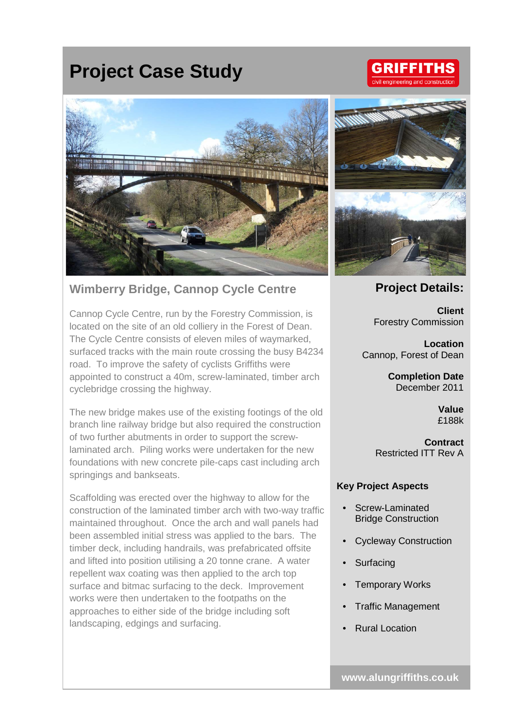# **Project Case Study**

## **GRIFFITHS** ivil engineering and construct



## **Wimberry Bridge, Cannop Cycle Centre**

Cannop Cycle Centre, run by the Forestry Commission, is located on the site of an old colliery in the Forest of Dean. The Cycle Centre consists of eleven miles of waymarked, surfaced tracks with the main route crossing the busy B4234 road. To improve the safety of cyclists Griffiths were appointed to construct a 40m, screw-laminated, timber arch cyclebridge crossing the highway.

The new bridge makes use of the existing footings of the old branch line railway bridge but also required the construction of two further abutments in order to support the screwlaminated arch. Piling works were undertaken for the new foundations with new concrete pile-caps cast including arch springings and bankseats.

Scaffolding was erected over the highway to allow for the construction of the laminated timber arch with two-way traffic maintained throughout. Once the arch and wall panels had been assembled initial stress was applied to the bars. The timber deck, including handrails, was prefabricated offsite and lifted into position utilising a 20 tonne crane. A water repellent wax coating was then applied to the arch top surface and bitmac surfacing to the deck. Improvement works were then undertaken to the footpaths on the approaches to either side of the bridge including soft landscaping, edgings and surfacing.



#### **Project Details:**

**Client** Forestry Commission

**Location** Cannop, Forest of Dean

> **Completion Date** December 2011

> > **Value** £188k

**Contract** Restricted ITT Rev A

#### **Key Project Aspects**

- Screw-Laminated Bridge Construction
- Cycleway Construction
- **Surfacing**
- **Temporary Works**
- Traffic Management
- Rural Location